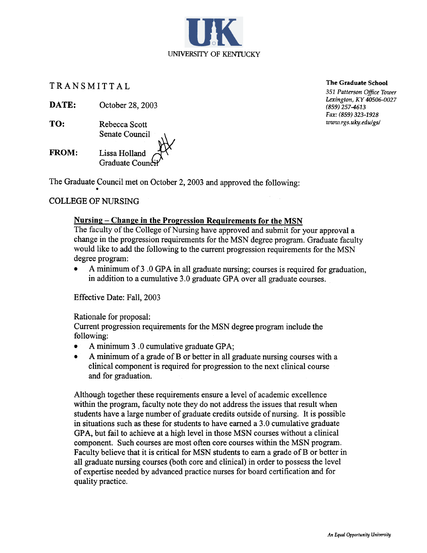TRANSMITTAL

DATE: October 28, 2003

TO: Rebecca Scott Senate Council FROM: Lissa Holland<br>Graduate Cound

The Graduate Council met on October 2, 2003 and approved the following

## COLLEGE OF NURSING

### Nursing – Change in the Progression Requirements for the MSN

The faculty of the College of Nursing have approved and submit for your approval a change in the progression requirements for the MSN degree program. Graduate faculty would like to add the following to the current progression requirements for the MSN degree program:

UNIVERSITY OF KENTUCKY

A minimum of 3 .0 GPA in all graduate nursing; courses is required for graduation, in addition to a cumulative 3.0 graduate GPA over all graduate courses.

Effective Date: Fall, 2003

Rationale for proposal:

Current progression requirements for the MSN degree program include the following:

- A minimum 3 .0 cumulative graduate GPA;
- .A minimum of a grade of B or better in all graduate nursing courses with a clinical component is required for progression to the next clinical course and for graduation.

Although together these requirements ensure a level of academic excellence within the program, faculty note they do not address the issues that result when students have a large number of graduate credits outside of nursing. It is possible in situations such as these for students to have earned a 3.0 cumulative graduate GPA, but fail to achieve at a high level in those MSN courses without a clinical component. Such courses are most often core courses within the MSN program. Faculty believe that it is critical for MSN students to earn a grade of B or better in all graduate nursing courses (both core and clinical) in order to possess the level of expertise needed by advanced practice nurses for board certification and for quality practice.

The Graduate School

351 Patterson Office Tower Lexington, KY 40506-0027 (859) 257-4613 Fax: (859) 323-1928 www.rgs.uky.edu/gs/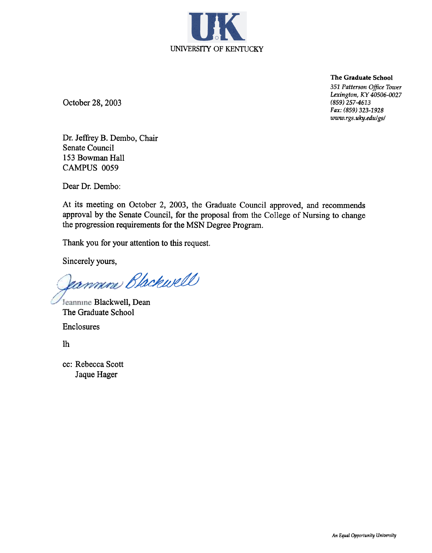

The Graduate School

351 Patterson Office Tower Lexington, KY 40506-0027 (859) 257-4613 Fax: (859) 323-1928 www.rgs.uky.edu/gs/

October 28, 2003

Dr. Jeffrey B. Dembo, Chair Senate Council 153 Bowman Hall CAMPUS 0059

Dear Dr. Dembo:

At its meeting on October 2, 2003, the Graduate Council approved, and recommends approval by the Senate Council, for the proposal from the College of Nursing to change the progression requirements for the MSN Degree Program.

Thank you for your attention to this request.

Sincerely yours,

commene Blackwell

Jeannine Blackwell, Dean The Graduate School Enclosures

lh

cc: Rebecca Scott Jaque Hager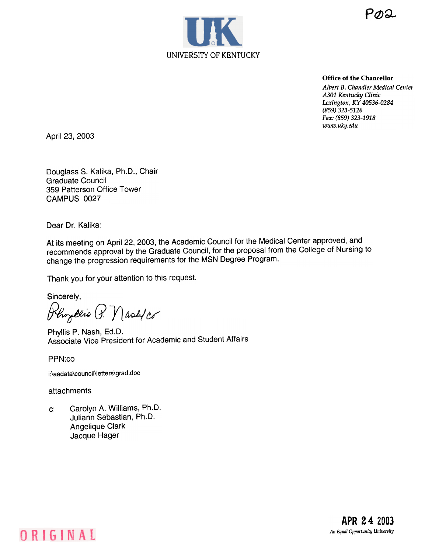



Office of the Chancellor

Albert B. Chandler Medical Center A301 Kentucky Clinic Lexington, KY 40536-0284 (859) 323-5126 Fax: (859) 323-1918 www.uky.edu

April 23, 2003

Douglass S. Kalika, Ph.D., Chair Graduate Council 359 Patterson Office Tower CAMPUS 0027

Dear Dr. Kalika:

At its meeting on April 22, 2003, the Academic Council for the Medical Center approved, and recommends approval by the Graduate Council, for the proposal from the College of Nursing to change the progression requirements for the MSN Degree Program.

Thank you for your attention to this request.

Sincerely,

Phyllio P. Mash/co

Phyllis P. Nash, Ed.D. Associate Vice President for Academic and Student Affairs

PPN:co

ORIGINAL

i:\aadata\council\letters\grad.doc

attachments

Carolyn A. Williams, Ph.D. Juliann Sebastian, Ph.D. Angelique Clark Jacque Hager c:

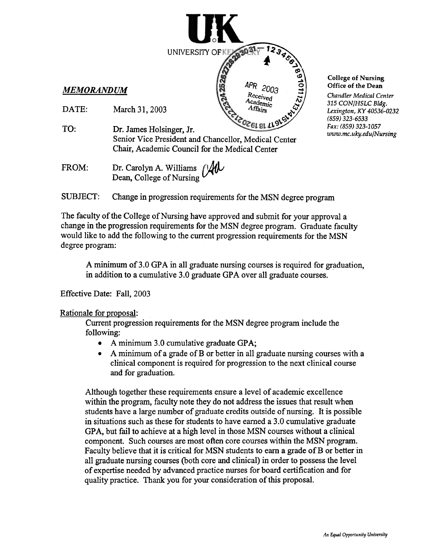

- DATE: March 31,2003
- Dr. James Holsinger, Jr. Senior Vice President and Chancellor, Medical Center Chair, Academic Council for the Medical Center TO:
- Dr. Carolyn A. Williams  $\beta$ Dean, College of Nursing FROM:

#### College of Nursing Office of the Dean

Chandler Medical Center 315 CON/HSLC Bldg. Lexington, KY 40536-0232 (859) 323-6533 Fax: (859) 323-1057 www.mc.uky.edu/Nursing

SUBJECT: Change in progression requirements for the MSN degree program

UNIVERSITY OF

.-'"";~1 .2 .1

 $\blacktriangle$  .  $\mathbf{r}$   $\mathbf{v}$ 

 $APR$  2003  $\frac{Q}{2}$ 

 $L$  al  $5\frac{15}{9}$ 

Received<br>*\cademic*<br>Affairs

 $\tilde{\mathbf{e}}$ 

The faculty of the College of Nursing have approved and submit for your approval a change in the progression requirements for the MSN degree program. Graduate faculty would like to add the following to the current progression requirements for the MSN degree program:

A minimum of3.0 GPA in all graduate nursing courses is required for graduation, in addition to a cumulative 3.0 graduate GPA over all graduate courses.

Effective Date: Fall, 2003

#### Rationale for proposal:

Current progression requirements for the MSN degree program include the following:

- .A minimum 3.0 cumulative graduate GPA;
- $\bullet$  A minimum of a grade of B or better in all graduate nursing courses with a clinical component is required for progression to the next clinical course and for graduation.

Although together these requirements ensure a level of academic excellence within the program, faculty note they do not address the issues that result when students have a large number of graduate credits outside of nursing. It is possible in situations such as these for students to have earned a 3.0 cumulative graduate GPA, but fail to achieve at a high level in those MSN courses without a clinical component. Such courses are most often core courses within the MSN program. Faculty believe that it is critical for MSN students to earn a grade of B or better in all graduate nursing courses (both core and clinical) in order to possess the level of expertise needed by advanced practice nurses for board certification and for quality practice. Thank you for your consideration of this proposal.